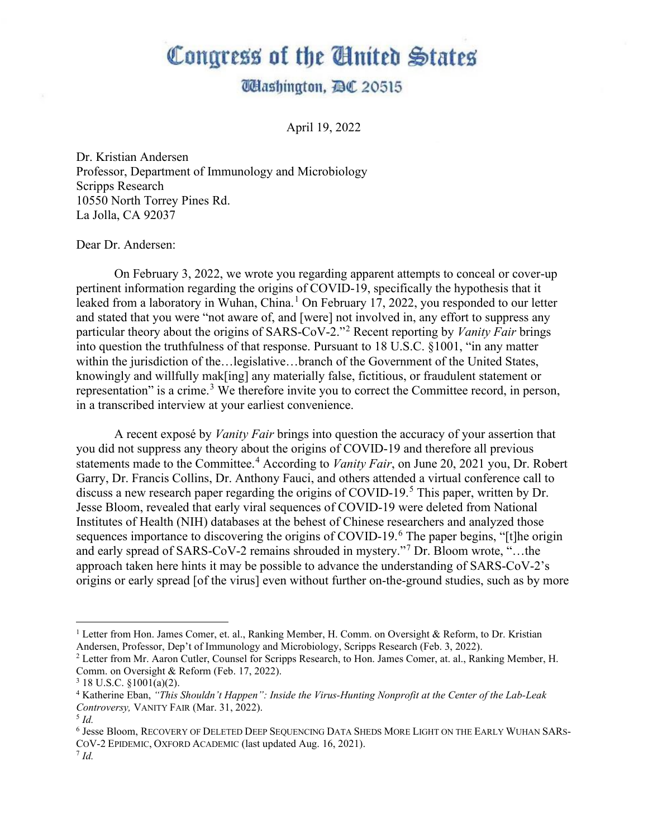## Congress of the United States

## **Washington, DC 20515**

April 19, 2022

Dr. Kristian Andersen Professor, Department of Immunology and Microbiology Scripps Research 10550 North Torrey Pines Rd. La Jolla, CA 92037

Dear Dr. Andersen:

On February 3, 2022, we wrote you regarding apparent attempts to conceal or cover-up pertinent information regarding the origins of COVID-19, specifically the hypothesis that it leaked from a laboratory in Wuhan, China.<sup>[1](#page-0-0)</sup> On February 17, 2022, you responded to our letter and stated that you were "not aware of, and [were] not involved in, any effort to suppress any particular theory about the origins of SARS-CoV-2."[2](#page-0-1) Recent reporting by *Vanity Fair* brings into question the truthfulness of that response. Pursuant to 18 U.S.C. §1001, "in any matter within the jurisdiction of the…legislative…branch of the Government of the United States, knowingly and willfully mak[ing] any materially false, fictitious, or fraudulent statement or representation" is a crime.<sup>[3](#page-0-2)</sup> We therefore invite you to correct the Committee record, in person, in a transcribed interview at your earliest convenience.

A recent exposé by *Vanity Fair* brings into question the accuracy of your assertion that you did not suppress any theory about the origins of COVID-19 and therefore all previous statements made to the Committee. [4](#page-0-3) According to *Vanity Fair*, on June 20, 2021 you, Dr. Robert Garry, Dr. Francis Collins, Dr. Anthony Fauci, and others attended a virtual conference call to discuss a new research paper regarding the origins of COVID-19.<sup>[5](#page-0-4)</sup> This paper, written by Dr. Jesse Bloom, revealed that early viral sequences of COVID-19 were deleted from National Institutes of Health (NIH) databases at the behest of Chinese researchers and analyzed those sequences importance to discovering the origins of COVID-19.<sup>[6](#page-0-5)</sup> The paper begins, "[t]he origin and early spread of SARS-CoV-2 remains shrouded in mystery."[7](#page-0-6) Dr. Bloom wrote, "…the approach taken here hints it may be possible to advance the understanding of SARS-CoV-2's origins or early spread [of the virus] even without further on-the-ground studies, such as by more

<span id="page-0-0"></span><sup>&</sup>lt;sup>1</sup> Letter from Hon. James Comer, et. al., Ranking Member, H. Comm. on Oversight & Reform, to Dr. Kristian Andersen, Professor, Dep't of Immunology and Microbiology, Scripps Research (Feb. 3, 2022).<br><sup>2</sup> Letter from Mr. Aaron Cutler, Counsel for Scripps Research, to Hon. James Comer, at. al., Ranking Member, H.

<span id="page-0-1"></span>Comm. on Oversight & Reform (Feb. 17, 2022).<sup>3</sup> 18 U.S.C. §1001(a)(2).

<span id="page-0-2"></span>

<span id="page-0-3"></span><sup>4</sup> Katherine Eban, *"This Shouldn't Happen": Inside the Virus-Hunting Nonprofit at the Center of the Lab-Leak Controversy,* VANITY FAIR (Mar. 31, 2022). 5 *Id.* 

<span id="page-0-4"></span>

<span id="page-0-5"></span><sup>6</sup> Jesse Bloom, RECOVERY OF DELETED DEEP SEQUENCING DATA SHEDS MORE LIGHT ON THE EARLY WUHAN SARS-COV-2 EPIDEMIC, OXFORD ACADEMIC (last updated Aug. 16, 2021). 7 *Id.* 

<span id="page-0-6"></span>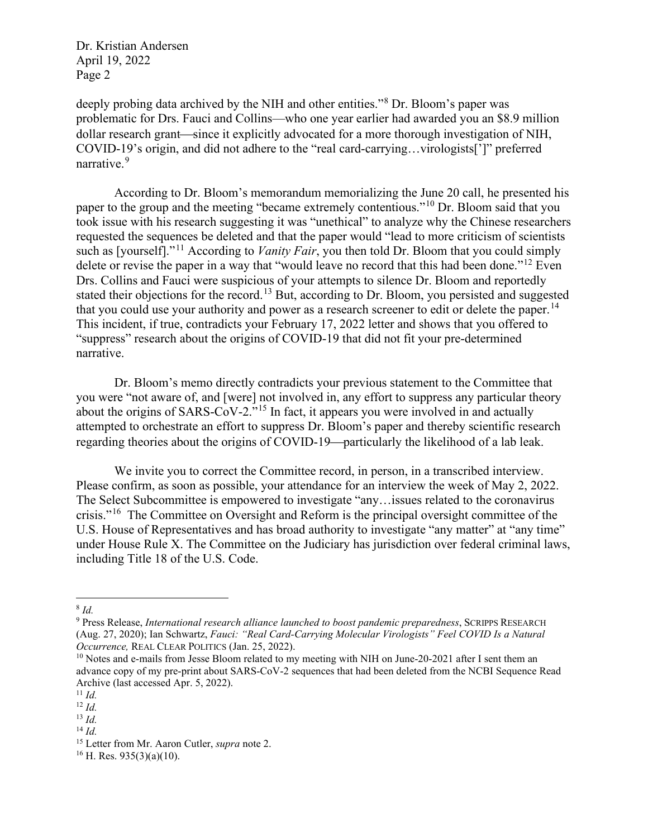Dr. Kristian Andersen April 19, 2022 Page 2

deeply probing data archived by the NIH and other entities."<sup>[8](#page-1-0)</sup> Dr. Bloom's paper was problematic for Drs. Fauci and Collins—who one year earlier had awarded you an \$8.9 million dollar research grant—since it explicitly advocated for a more thorough investigation of NIH, COVID-19's origin, and did not adhere to the "real card-carrying…virologists[']" preferred narrative.<sup>[9](#page-1-1)</sup>

According to Dr. Bloom's memorandum memorializing the June 20 call, he presented his paper to the group and the meeting "became extremely contentious."[10](#page-1-2) Dr. Bloom said that you took issue with his research suggesting it was "unethical" to analyze why the Chinese researchers requested the sequences be deleted and that the paper would "lead to more criticism of scientists such as [yourself]."[11](#page-1-3) According to *Vanity Fair*, you then told Dr. Bloom that you could simply delete or revise the paper in a way that "would leave no record that this had been done."<sup>[12](#page-1-4)</sup> Even Drs. Collins and Fauci were suspicious of your attempts to silence Dr. Bloom and reportedly stated their objections for the record.<sup>[13](#page-1-5)</sup> But, according to Dr. Bloom, you persisted and suggested that you could use your authority and power as a research screener to edit or delete the paper.<sup>[14](#page-1-6)</sup> This incident, if true, contradicts your February 17, 2022 letter and shows that you offered to "suppress" research about the origins of COVID-19 that did not fit your pre-determined narrative.

Dr. Bloom's memo directly contradicts your previous statement to the Committee that you were "not aware of, and [were] not involved in, any effort to suppress any particular theory about the origins of SARS-CoV-2."[15](#page-1-7) In fact, it appears you were involved in and actually attempted to orchestrate an effort to suppress Dr. Bloom's paper and thereby scientific research regarding theories about the origins of COVID-19—particularly the likelihood of a lab leak.

We invite you to correct the Committee record, in person, in a transcribed interview. Please confirm, as soon as possible, your attendance for an interview the week of May 2, 2022. The Select Subcommittee is empowered to investigate "any…issues related to the coronavirus crisis."[16](#page-1-8) The Committee on Oversight and Reform is the principal oversight committee of the U.S. House of Representatives and has broad authority to investigate "any matter" at "any time" under House Rule X. The Committee on the Judiciary has jurisdiction over federal criminal laws, including Title 18 of the U.S. Code.

<span id="page-1-0"></span><sup>8</sup> *Id.* 

<span id="page-1-1"></span><sup>9</sup> Press Release, *International research alliance launched to boost pandemic preparedness*, SCRIPPS RESEARCH (Aug. 27, 2020); Ian Schwartz, *Fauci: "Real Card-Carrying Molecular Virologists" Feel COVID Is a Natural Occurrence, REAL CLEAR POLITICS (Jan. 25, 2022).*<br><sup>10</sup> Notes and e-mails from Jesse Bloom related to my meeting with NIH on June-20-2021 after I sent them an

<span id="page-1-2"></span>advance copy of my pre-print about SARS-CoV-2 sequences that had been deleted from the NCBI Sequence Read Archive (last accessed Apr. 5, 2022). 11 *Id.* 

<span id="page-1-4"></span><span id="page-1-3"></span> $12$  *Id.* 

<span id="page-1-5"></span> $13$  *Id.* 

<span id="page-1-6"></span> $^{14}$  *Id.* 

<span id="page-1-8"></span><span id="page-1-7"></span><sup>&</sup>lt;sup>15</sup> Letter from Mr. Aaron Cutler, *supra* note 2.<br><sup>16</sup> H. Res. 935(3)(a)(10).